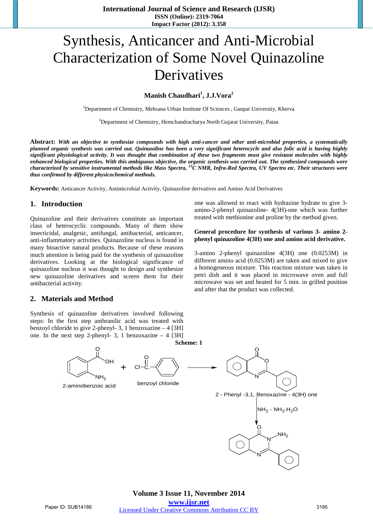# Synthesis, Anticancer and Anti-Microbial Characterization of Some Novel Quinazoline **Derivatives**

# **Manish Chaudhari<sup>1</sup> , J.J.Vora<sup>2</sup>**

<sup>1</sup>Department of Chemistry, Mehsana Urban Institute Of Sciences, Ganpat University, Kherva

<sup>2</sup>Department of Chemistry, Hemchandracharya North Gujarat University, Patan

Abstract: With an objective to synthesize compounds with high anti-cancer and other anti-microbial properties, a systematically planned organic synthesis was carried out. Quinazoline has been a very significant heterocycle and also folic acid is having highly significant physiological activity. It was thought that combination of these two fragments must give resistant molecules with highly enhanced biological properties. With this ambiguous objective, the organic synthesis was carried out. The synthesized compounds were characterized by sensitive instrumental methods like Mass Spectra, <sup>13</sup>C NMR, Infra-Red Spectra, UV Spectra etc. Their structures were *thus confirmed by different physicochemical methods.*

**Keywords:** Anticancer Activity, Antimicrobial Activity, Quinazoline derivatives and Amino Acid Derivatives

### **1. Introduction**

Quinazoline and their derivatives constitute an important class of heterocyclic compounds. Many of them show insecticidal, analgesic, antifungal, antibacterial, anticancer, anti-inflammatory activities. Quinazoline nucleus is found in many bioactive natural products. Because of these reasons much attention is being paid for the synthesis of quinazoline derivatives. Looking at the biological significance of quinazoline nucleus it was thought to design and synthesize new quinazoline derivatives and screen them for their antibacterial activity.

#### **2. Materials and Method**

Synthesis of quinazoline derivatives involved following steps: In the first step anthranilic acid was treated with benzoyl chloride to give 2-phenyl- 3, 1 benzoxazine – 4 [3H] one. In the next step 2-phenyl- 3, 1 benzoxazine  $-4$  [3H] one was allowed to react with hydrazine hydrate to give 3 amino-2-phenyl quinazoline- 4(3H)-one which was further treated with methionine and proline by the method given.

#### **General procedure for synthesis of various 3- amino 2 phenyl quinazoline 4(3H) one and amino acid derivative.**

3-amino 2-phenyl quinazoline 4(3H) one (0.0253M) in different amino acid (0.0253M) are taken and mixed to give a homogeneous mixture. This reaction mixture was taken in petri dish and it was placed in microwave oven and full microwave was set and heated for 5 min. in grilled position and after that the product was collected.

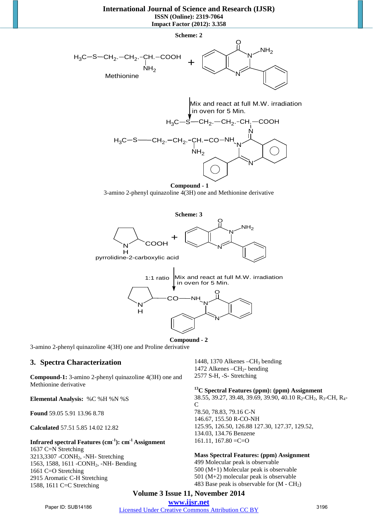# **International Journal of Science and Research (IJSR) ISSN (Online): 2319-7064**

**Impact Factor (2012): 3.358**



**Compound - 1**  3-amino 2-phenyl quinazoline 4(3H) one and Methionine derivative





3-amino 2-phenyl quinazoline 4(3H) one and Proline derivative

## **3. Spectra Characterization**

**Compound-1:** 3-amino 2-phenyl quinazoline 4(3H) one and Methionine derivative

**Elemental Analysis:** %C %H %N %S

**Found** 59.05 5.91 13.96 8.78

**Calculated** 57.51 5.85 14.02 12.82

## **Infrared spectral Features (cm-1): cm-1 Assignment**

1637 C=N Stretching 3213,3307 -CONH2, -NH- Stretching 1563, 1588, 1611 - CONH<sub>2</sub>, -NH- Bending 1661 C=O Stretching 2915 Aromatic C-H Stretching 1588, 1611 C=C Stretching

1448, 1370 Alkenes  $-CH_3$  bending 1472 Alkenes  $-CH<sub>2</sub>$ - bending 2577 S-H, -S- Stretching

## **13C Spectral Features (ppm): (ppm) Assignment**

38.55, 39.27, 39.48, 39.69, 39.90, 40.10 R<sub>2</sub>-CH<sub>2</sub>, R<sub>3</sub>-CH, R<sub>4</sub>-C 78.50, 78.83, 79.16 C-N 146.67, 155.50 R-CO-NH 125.95, 126.50, 126.88 127.30, 127.37, 129.52, 134.03, 134.76 Benzene  $161.11$ ,  $167.80 = C = O$ 

#### **Mass Spectral Features: (ppm) Assignment**

 Molecular peak is observable (M+1) Molecular peak is observable (M+2) molecular peak is observable 483 Base peak is observable for  $(M - CH<sub>2</sub>)$ 

# **Volume 3 Issue 11, November 2014**

**www.ijsr.net** Paper ID: SUB14186 *[Licensed Under Creative Commons Attribution CC BY](http://creativecommons.org/licenses/by/4.0/)* 3196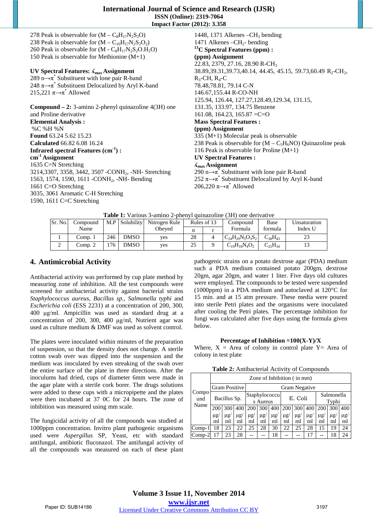| <b>International Journal of Science and Research (IJSR)</b> |
|-------------------------------------------------------------|
| <b>ISSN</b> (Online): 2319-7064                             |
| <b>Impact Factor (2012): 3.358</b>                          |

278 Peak is observable for  $(M - C_8H_{17}N_2S_2O)$ 238 Peak is observable for  $(M - C_{10}H_{17}N_2S_2O_2)$ 260 Peak is observable for  $(M - C_8H_{17}N_2S_2O.H_2O)$ 150 Peak is observable for Methionine (M+1)

## **UV Spectral Features: ʎmax Assignment**

289 n $\rightarrow \pi^*$  Substituent with lone pair R-band 248  $\pi \rightarrow \pi^*$  Substituent Delocalized by Aryl K-band 215,221  $\pi \rightarrow \pi^*$  Allowed

**Compound – 2:** 3-amino 2-phenyl quinazoline 4(3H) one and Proline derivative **Elemental Analysis :**  %C %H %N **Found** 63.24 5.62 15.23 **Calculated** 66.82 6.08 16.24 **Infrared spectral Features (cm-1) : cm-1 Assignment** 1635 C=N Stretching 3214,3307, 3358, 3442, 3507 -CONH2, -NH- Stretching 1563, 1574, 1590, 1611 - CONH<sub>2</sub>, -NH- Bending 1661 C=O Stretching 3035, 3061 Aromatic C-H Stretching 1590, 1611 C=C Stretching

1448, 1371 Alkenes  $-CH<sub>3</sub>$  bending 1471 Alkenes  $-CH<sub>2</sub>$ - bending **13C Spectral Features (ppm) : (ppm) Assignment** 22.83, 2379, 27.16, 28.90 R-CH<sub>3</sub> 38.89,39.31,39.73,40.14, 44.45, 45.15, 59.73,60.49 R<sub>2</sub>-CH<sub>2</sub>,  $R_3$ -CH,  $R_4$ -C 78.48,78.81, 79.14 C-N 146.67,155.44 R-CO-NH 125.94, 126.44, 127.27,128.49,129.34, 131.15, 131.35, 133.97, 134.75 Benzene  $161.08$ ,  $164.23$ ,  $165.87 = C=O$ **Mass Spectral Features : (ppm) Assignment** 335 (M+1) Molecular peak is observable 238 Peak is observable for  $(M - C_5H_6NO)$  Quinazoline peak 116 Peak is observable for Proline (M+1) **UV Spectral Features : ʎmax Assignment** 290 n $\rightarrow \pi^*$  Substituent with lone pair R-band 252  $\pi \rightarrow \pi^*$  Substituent Delocalized by Aryl K-band 206,220  $\pi \rightarrow \pi^*$  Allowed

**Table 1:** Various 3-amino 2-phenyl quinazoline (3H) one derivative

|         | <b>Table 1.</b> Various 3-allinio 2-bilenvi uulilazoilile (311) olle uerryative |     |                |               |             |  |                         |                |              |
|---------|---------------------------------------------------------------------------------|-----|----------------|---------------|-------------|--|-------------------------|----------------|--------------|
| Sr. No. | Compound                                                                        |     | M.P Solubility | Nitrogen Rule | Rules of 13 |  | Compound                | Base           | Unsaturation |
|         | Name                                                                            |     |                | Obeved        |             |  | Formula                 | formula        | Index U      |
|         | Comp. $_1$                                                                      | 246 | <b>DMSO</b>    | ves           | 28          |  | $C_{24}H_{29}N_5O_3S_2$ | $C_{38}H_{43}$ |              |
|         | Comp. 2                                                                         | 76  | <b>DMSO</b>    | yes           | 25          |  | $C_{19}H_{18}N_4O_2$    | $C_{25}H_{34}$ |              |

# **4. Antimicrobial Activity**

Antibacterial activity was performed by cup plate method by measuring zone of inhibition. All the test compounds were screened for antibacterial activity against bacterial strains *Staphylococcus aureus, Bacillus sp., Salmonella typhi* and *Escherichia coli* (ESS 2231) at a concentration of 200, 300, 400 μg/ml. Ampicillin was used as standard drug at a concentration of 200, 300, 400 μg/ml, Nutrient agar was used as culture medium & DMF was used as solvent control.

The plates were inoculated within minutes of the preparation of suspension, so that the density does not change. A sterile cotton swab over was dipped into the suspension and the medium was inoculated by even streaking of the swab over the entire surface of the plate in three directions. After the inoculums had dried, cups of diameter 6mm were made in the agar plate with a sterile cork borer. The drugs solutions were added to these cups with a micropipette and the plates were then incubated at 37 0C for 24 hours. The zone of inhibition was measured using mm scale.

The fungicidal activity of all the compounds was studied at 1000ppm concentration. Invitro plant pathogenic organisms used were *Aspergillus* SP, Yeast, etc with standard antifungal, antibiotic fluconazol. The antifungal activity of all the compounds was measured on each of these plant pathogenic strains on a potato dextrose agar (PDA) medium such a PDA medium contained potato 200gm, dextrose 20gm, agar 20gm, and water 1 liter. Five days old cultures were employed. The compounds to be tested were suspended (1000ppm) in a PDA medium and autoclaved at 120°C for 15 min. and at 15 atm pressure. These media were poured into sterile Petri plates and the organisms were inoculated after cooling the Petri plates. The percentage inhibition for fungi was calculated after five days using the formula given below.

#### **Percentage of Inhibition =100(X-Y)/X**

Where,  $X = Area$  of colony in control plate  $Y = Area$  of colony in test plate

| Table 2: Antibacterial Activity of Compounds |  |  |
|----------------------------------------------|--|--|
|                                              |  |  |

|              | Zone of Inhibition (in mm)                |          |          |            |                      |          |                     |          |          |            |          |          |
|--------------|-------------------------------------------|----------|----------|------------|----------------------|----------|---------------------|----------|----------|------------|----------|----------|
|              | <b>Gram Positive</b>                      |          |          |            | <b>Gram Negative</b> |          |                     |          |          |            |          |          |
| Compo<br>und | Staphylococcu<br>Bacillus Sp.<br>s Aureus |          |          | E. Coli    |                      |          | Salmonella<br>Typhi |          |          |            |          |          |
| Name         | 200                                       | 300      | 400      | <b>200</b> | 300                  | 400      | <b>200</b>          | 300      | 400      | <b>200</b> | 300      | 400      |
|              | $\mu$ g/                                  | $\mu$ g/ | $\mu$ g/ | $\mu$ g/   | $\mu$ g/             | $\mu$ g/ | $\mu$ g/            | $\mu$ g/ | $\mu$ g/ | $\mu$ g/   | $\mu$ g/ | $\mu$ g/ |
|              | ml                                        | ml       | ml       | ml         | ml                   | ml       | ml                  | ml       | ml       | ml         | ml       | ml       |
| Comp-1       | 18                                        | 23       | 22       | 25         | 28                   | 30       | 22                  | 25       | 28       | 15         | 19       | 24       |
| $Comp-2$     |                                           | 23       | 28       |            |                      | 18       |                     |          | 17       |            | 18       | 24       |